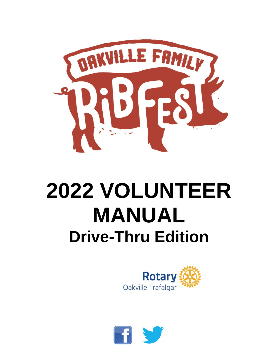

# **2022 VOLUNTEER MANUAL Drive-Thru Edition**



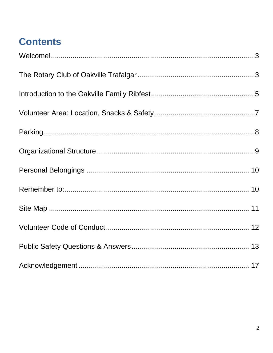# **Contents**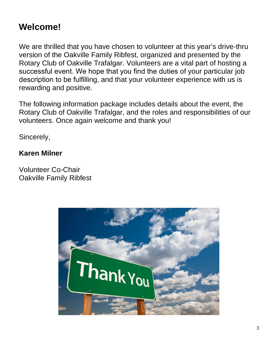# <span id="page-2-0"></span>**Welcome!**

We are thrilled that you have chosen to volunteer at this year's drive-thru version of the Oakville Family Ribfest, organized and presented by the Rotary Club of Oakville Trafalgar. Volunteers are a vital part of hosting a successful event. We hope that you find the duties of your particular job description to be fulfilling, and that your volunteer experience with us is rewarding and positive.

The following information package includes details about the event, the Rotary Club of Oakville Trafalgar, and the roles and responsibilities of our volunteers. Once again welcome and thank you!

Sincerely,

#### **Karen Milner**

<span id="page-2-1"></span>Volunteer Co-Chair Oakville Family Ribfest

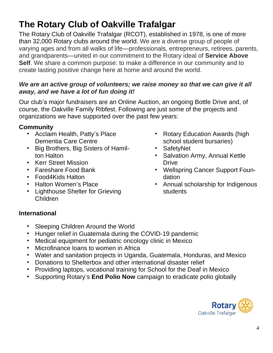# **The Rotary Club of Oakville Trafalgar**

The Rotary Club of Oakville Trafalgar (RCOT), established in 1978, is one of more than 32,000 Rotary clubs around the world. We are a diverse group of people of varying ages and from all walks of life—professionals, entrepreneurs, retirees, parents, and grandparents—united in our commitment to the Rotary ideal of **Service Above Self**. We share a common purpose: to make a difference in our community and to create lasting positive change here at home and around the world.

#### *We are an active group of volunteers; we raise money so that we can give it all away, and we have a lot of fun doing it!*

Our club's major fundraisers are an Online Auction, an ongoing Bottle Drive and, of course, the Oakville Family Ribfest. Following are just some of the projects and organizations we have supported over the past few years:

#### **Community**

- Acclaim Health, Patty's Place Dementia Care Centre
- Big Brothers, Big Sisters of Hamilton Halton
- Kerr Street Mission
- Fareshare Food Bank
- Food4Kids Halton
- Halton Women's Place
- Lighthouse Shelter for Grieving Children
- Rotary Education Awards (high school student bursaries)
- SafetyNet
- Salvation Army, Annual Kettle **Drive**
- Wellspring Cancer Support Foundation
- Annual scholarship for Indigenous students

#### **International**

- Sleeping Children Around the World
- Hunger relief in Guatemala during the COVID-19 pandemic
- Medical equipment for pediatric oncology clinic in Mexico
- Microfinance loans to women in Africa
- Water and sanitation projects in Uganda, Guatemala, Honduras, and Mexico
- Donations to Shelterbox and other international disaster relief
- Providing laptops, vocational training for School for the Deaf in Mexico
- Supporting Rotary's **End Polio Now** campaign to eradicate polio globally

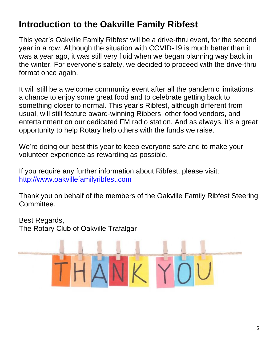# <span id="page-4-0"></span>**Introduction to the Oakville Family Ribfest**

This year's Oakville Family Ribfest will be a drive-thru event, for the second year in a row. Although the situation with COVID-19 is much better than it was a year ago, it was still very fluid when we began planning way back in the winter. For everyone's safety, we decided to proceed with the drive-thru format once again.

It will still be a welcome community event after all the pandemic limitations, a chance to enjoy some great food and to celebrate getting back to something closer to normal. This year's Ribfest, although different from usual, will still feature award-winning Ribbers, other food vendors, and entertainment on our dedicated FM radio station. And as always, it's a great opportunity to help Rotary help others with the funds we raise.

We're doing our best this year to keep everyone safe and to make your volunteer experience as rewarding as possible.

If you require any further information about Ribfest, please visit: [http://www.oakvillefamilyribfest.com](http://www.oakvillefamilyribfest.com/)

Thank you on behalf of the members of the Oakville Family Ribfest Steering **Committee** 

Best Regards, The Rotary Club of Oakville Trafalgar

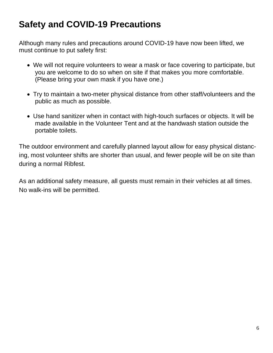# **Safety and COVID-19 Precautions**

Although many rules and precautions around COVID-19 have now been lifted, we must continue to put safety first:

- We will not require volunteers to wear a mask or face covering to participate, but you are welcome to do so when on site if that makes you more comfortable. (Please bring your own mask if you have one.)
- Try to maintain a two-meter physical distance from other staff/volunteers and the public as much as possible.
- Use hand sanitizer when in contact with high-touch surfaces or objects. It will be made available in the Volunteer Tent and at the handwash station outside the portable toilets.

The outdoor environment and carefully planned layout allow for easy physical distancing, most volunteer shifts are shorter than usual, and fewer people will be on site than during a normal Ribfest.

As an additional safety measure, all guests must remain in their vehicles at all times. No walk-ins will be permitted.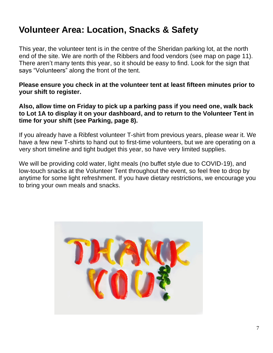# <span id="page-6-0"></span>**Volunteer Area: Location, Snacks & Safety**

This year, the volunteer tent is in the centre of the Sheridan parking lot, at the north end of the site. We are north of the Ribbers and food vendors (see map on page 11). There aren't many tents this year, so it should be easy to find. Look for the sign that says "Volunteers" along the front of the tent.

**Please ensure you check in at the volunteer tent at least fifteen minutes prior to your shift to register.**

**Also, allow time on Friday to pick up a parking pass if you need one, walk back to Lot 1A to display it on your dashboard, and to return to the Volunteer Tent in time for your shift (see Parking, page 8).**

If you already have a Ribfest volunteer T-shirt from previous years, please wear it. We have a few new T-shirts to hand out to first-time volunteers, but we are operating on a very short timeline and tight budget this year, so have very limited supplies.

We will be providing cold water, light meals (no buffet style due to COVID-19), and low-touch snacks at the Volunteer Tent throughout the event, so feel free to drop by anytime for some light refreshment. If you have dietary restrictions, we encourage you to bring your own meals and snacks.

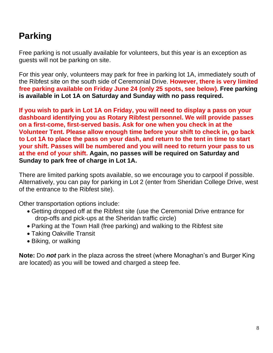# <span id="page-7-0"></span>**Parking**

Free parking is not usually available for volunteers, but this year is an exception as guests will not be parking on site.

For this year only, volunteers may park for free in parking lot 1A, immediately south of the Ribfest site on the south side of Ceremonial Drive. **However, there is very limited free parking available on Friday June 24 (only 25 spots, see below). Free parking is available in Lot 1A on Saturday and Sunday with no pass required.**

**If you wish to park in Lot 1A on Friday, you will need to display a pass on your dashboard identifying you as Rotary Ribfest personnel. We will provide passes on a first-come, first-served basis. Ask for one when you check in at the Volunteer Tent. Please allow enough time before your shift to check in, go back to Lot 1A to place the pass on your dash, and return to the tent in time to start your shift. Passes will be numbered and you will need to return your pass to us at the end of your shift. Again, no passes will be required on Saturday and Sunday to park free of charge in Lot 1A.**

There are limited parking spots available, so we encourage you to carpool if possible. Alternatively, you can pay for parking in Lot 2 (enter from Sheridan College Drive, west of the entrance to the Ribfest site).

Other transportation options include:

- Getting dropped off at the Ribfest site (use the Ceremonial Drive entrance for drop-offs and pick-ups at the Sheridan traffic circle)
- Parking at the Town Hall (free parking) and walking to the Ribfest site
- Taking Oakville Transit
- Biking, or walking

**Note:** Do *not* park in the plaza across the street (where Monaghan's and Burger King are located) as you will be towed and charged a steep fee.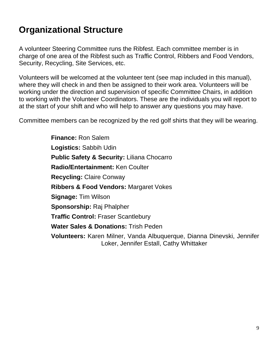# <span id="page-8-0"></span>**Organizational Structure**

A volunteer Steering Committee runs the Ribfest. Each committee member is in charge of one area of the Ribfest such as Traffic Control, Ribbers and Food Vendors, Security, Recycling, Site Services, etc.

Volunteers will be welcomed at the volunteer tent (see map included in this manual), where they will check in and then be assigned to their work area. Volunteers will be working under the direction and supervision of specific Committee Chairs, in addition to working with the Volunteer Coordinators. These are the individuals you will report to at the start of your shift and who will help to answer any questions you may have.

Committee members can be recognized by the red golf shirts that they will be wearing.

**Finance:** Ron Salem **Logistics:** Sabbih Udin **Public Safety & Security:** Liliana Chocarro **Radio/Entertainment:** Ken Coulter **Recycling:** Claire Conway **Ribbers & Food Vendors:** Margaret Vokes **Signage:** Tim Wilson **Sponsorship:** Raj Phalpher **Traffic Control:** Fraser Scantlebury **Water Sales & Donations:** Trish Peden **Volunteers:** Karen Milner, Vanda Albuquerque, Dianna Dinevski, Jennifer Loker, Jennifer Estall, Cathy Whittaker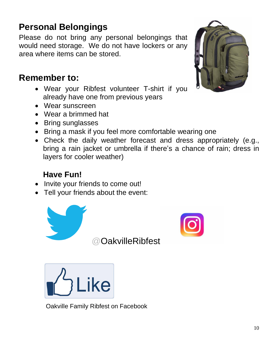# <span id="page-9-0"></span>**Personal Belongings**

Please do not bring any personal belongings that would need storage. We do not have lockers or any area where items can be stored.

# <span id="page-9-1"></span>**Remember to:**

- Wear your Ribfest volunteer T-shirt if you already have one from previous years
- Wear sunscreen
- Wear a brimmed hat
- Bring sunglasses
- Bring a mask if you feel more comfortable wearing one
- Check the daily weather forecast and dress appropriately (e.g., bring a rain jacket or umbrella if there's a chance of rain; dress in layers for cooler weather)

### **Have Fun!**

- Invite your friends to come out!
- Tell your friends about the event:





@OakvilleRibfest



Oakville Family Ribfest on Facebook

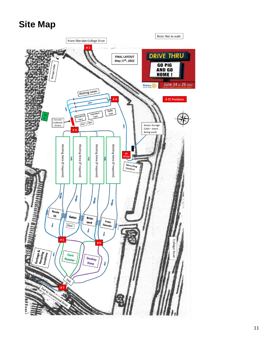# <span id="page-10-0"></span>**Site Map**

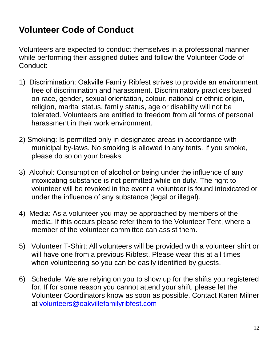# <span id="page-11-0"></span>**Volunteer Code of Conduct**

Volunteers are expected to conduct themselves in a professional manner while performing their assigned duties and follow the Volunteer Code of Conduct:

- 1) Discrimination: Oakville Family Ribfest strives to provide an environment free of discrimination and harassment. Discriminatory practices based on race, gender, sexual orientation, colour, national or ethnic origin, religion, marital status, family status, age or disability will not be tolerated. Volunteers are entitled to freedom from all forms of personal harassment in their work environment.
- 2) Smoking: Is permitted only in designated areas in accordance with municipal by-laws. No smoking is allowed in any tents. If you smoke, please do so on your breaks.
- 3) Alcohol: Consumption of alcohol or being under the influence of any intoxicating substance is not permitted while on duty. The right to volunteer will be revoked in the event a volunteer is found intoxicated or under the influence of any substance (legal or illegal).
- 4) Media: As a volunteer you may be approached by members of the media. If this occurs please refer them to the Volunteer Tent, where a member of the volunteer committee can assist them.
- 5) Volunteer T-Shirt: All volunteers will be provided with a volunteer shirt or will have one from a previous Ribfest. Please wear this at all times when volunteering so you can be easily identified by guests.
- 6) Schedule: We are relying on you to show up for the shifts you registered for. If for some reason you cannot attend your shift, please let the Volunteer Coordinators know as soon as possible. Contact Karen Milner at [volunteers@oakvillefamilyribfest.com](mailto:volunteers@oakvillefamilyribfest.com)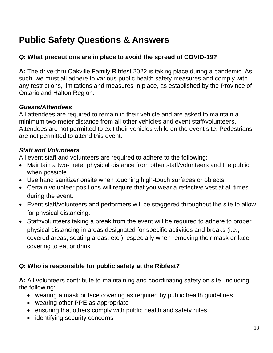# <span id="page-12-0"></span>**Public Safety Questions & Answers**

#### **Q: What precautions are in place to avoid the spread of COVID-19?**

**A:** The drive-thru Oakville Family Ribfest 2022 is taking place during a pandemic. As such, we must all adhere to various public health safety measures and comply with any restrictions, limitations and measures in place, as established by the Province of Ontario and Halton Region.

#### *Guests/Attendees*

All attendees are required to remain in their vehicle and are asked to maintain a minimum two-meter distance from all other vehicles and event staff/volunteers. Attendees are not permitted to exit their vehicles while on the event site. Pedestrians are not permitted to attend this event.

#### *Staff and Volunteers*

All event staff and volunteers are required to adhere to the following:

- Maintain a two-meter physical distance from other staff/volunteers and the public when possible.
- Use hand sanitizer onsite when touching high-touch surfaces or objects.
- Certain volunteer positions will require that you wear a reflective vest at all times during the event.
- Event staff/volunteers and performers will be staggered throughout the site to allow for physical distancing.
- Staff/volunteers taking a break from the event will be required to adhere to proper physical distancing in areas designated for specific activities and breaks (i.e., covered areas, seating areas, etc.), especially when removing their mask or face covering to eat or drink.

#### **Q: Who is responsible for public safety at the Ribfest?**

**A:** All volunteers contribute to maintaining and coordinating safety on site, including the following:

- wearing a mask or face covering as required by public health guidelines
- wearing other PPE as appropriate
- ensuring that others comply with public health and safety rules
- identifying security concerns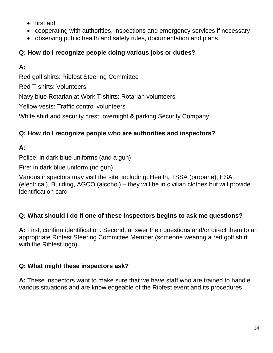- first aid
- cooperating with authorities, inspections and emergency services if necessary
- observing public health and safety rules, documentation and plans.

#### **Q: How do I recognize people doing various jobs or duties?**

#### **A:**

Red golf shirts: Ribfest Steering Committee

Red T-shirts: Volunteers

Navy blue Rotarian at Work T-shirts: Rotarian volunteers

Yellow vests: Traffic control volunteers

White shirt and security crest: overnight & parking Security Company

#### **Q: How do I recognize people who are authorities and inspectors?**

#### **A:**

Police: in dark blue uniforms (and a gun)

Fire: in dark blue uniform (no gun)

Various inspectors may visit the site, including: Health, TSSA (propane), ESA (electrical), Building, AGCO (alcohol) – they will be in civilian clothes but will provide identification card

#### **Q: What should I do if one of these inspectors begins to ask me questions?**

**A:** First, confirm identification. Second, answer their questions and/or direct them to an appropriate Ribfest Steering Committee Member (someone wearing a red golf shirt with the Ribfest logo).

#### **Q: What might these inspectors ask?**

**A:** These inspectors want to make sure that we have staff who are trained to handle various situations and are knowledgeable of the Ribfest event and its procedures.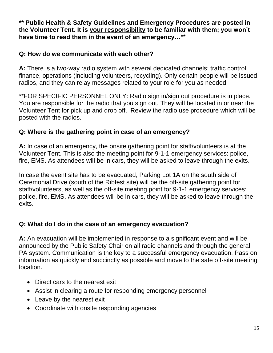**\*\* Public Health & Safety Guidelines and Emergency Procedures are posted in the Volunteer Tent. It is your responsibility to be familiar with them; you won't have time to read them in the event of an emergency…\*\***

#### **Q: How do we communicate with each other?**

**A:** There is a two-way radio system with several dedicated channels: traffic control, finance, operations (including volunteers, recycling). Only certain people will be issued radios, and they can relay messages related to your role for you as needed.

\*\*FOR SPECIFIC PERSONNEL ONLY: Radio sign in/sign out procedure is in place. You are responsible for the radio that you sign out. They will be located in or near the Volunteer Tent for pick up and drop off. Review the radio use procedure which will be posted with the radios.

#### **Q: Where is the gathering point in case of an emergency?**

**A:** In case of an emergency, the onsite gathering point for staff/volunteers is at the Volunteer Tent. This is also the meeting point for 9-1-1 emergency services: police, fire, EMS. As attendees will be in cars, they will be asked to leave through the exits.

In case the event site has to be evacuated, Parking Lot 1A on the south side of Ceremonial Drive (south of the Ribfest site) will be the off-site gathering point for staff/volunteers, as well as the off-site meeting point for 9-1-1 emergency services: police, fire, EMS. As attendees will be in cars, they will be asked to leave through the exits.

#### **Q: What do I do in the case of an emergency evacuation?**

**A:** An evacuation will be implemented in response to a significant event and will be announced by the Public Safety Chair on all radio channels and through the general PA system. Communication is the key to a successful emergency evacuation. Pass on information as quickly and succinctly as possible and move to the safe off-site meeting location.

- Direct cars to the nearest exit
- Assist in clearing a route for responding emergency personnel
- Leave by the nearest exit
- Coordinate with onsite responding agencies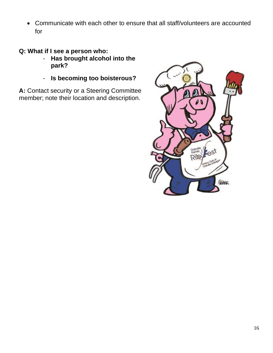• Communicate with each other to ensure that all staff/volunteers are accounted for

#### **Q: What if I see a person who:**

- **Has brought alcohol into the park?**
- **Is becoming too boisterous?**

**A:** Contact security or a Steering Committee member; note their location and description.